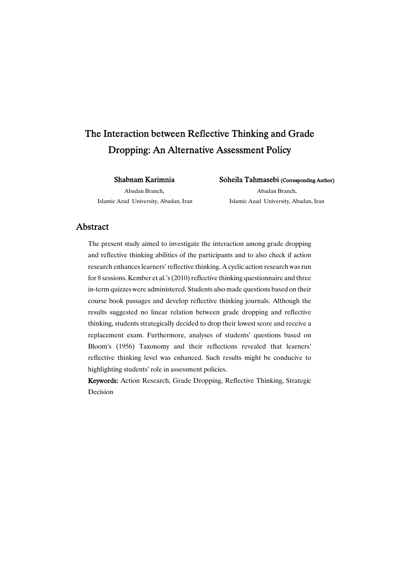# The Interaction between Reflective Thinking and Grade Dropping: An Alternative Assessment Policy

ShabnamKarimnia

Abadan Branch, Islamic Azad University, Abadan, Iran Soheila Tahmasebi (Corresponding Author)

Abadan Branch, Islamic Azad University, Abadan, Iran

## Abstract

The present study aimed to investigate the interaction among grade dropping and reflective thinking abilities of the participants and to also check if action research enhances learners' reflective thinking. A cyclic action research was run for 8 sessions. Kember et al.'s  $(2010)$  reflective thinking questionnaire and three in-term quizzeswere administered. Students also made questions based on their course book passages and develop reflective thinking journals. Although the results suggested no linear relation between grade dropping and reflective thinking, students strategically decided to drop their lowest score and receive a replacement exam. Furthermore, analyses of students' questions based on Bloom's (1956) Taxonomy and their reflections revealed that learners' reflective thinking level was enhanced. Such results might be conducive to highlighting students' role in assessment policies.

Keywords: Action Research, Grade Dropping, Reflective Thinking, Strategic Decision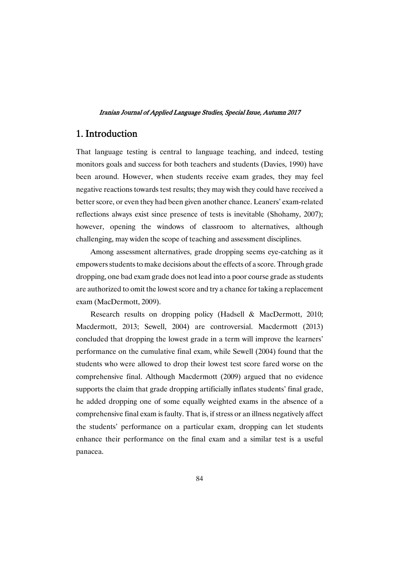## 1.Introduction

That language testing is central to language teaching, and indeed, testing monitors goals and success for both teachers and students (Davies, 1990) have been around. However, when students receive exam grades, they may feel negative reactions towards test results; they may wish they could have received a better score, or even they had been given another chance. Leaners' exam-related reflections always exist since presence of tests is inevitable (Shohamy, 2007); however, opening the windows of classroom to alternatives, although challenging, may widen the scope of teaching and assessment disciplines.

Among assessment alternatives, grade dropping seems eye-catching as it empowers students to make decisions about the effects of a score. Through grade dropping, one bad exam grade does not lead into a poor course grade as students are authorized to omit the lowest score and try a chance for taking a replacement exam (MacDermott, 2009).

Research results on dropping policy (Hadsell & MacDermott, 2010; Macdermott, 2013; Sewell, 2004) are controversial. Macdermott (2013) concluded that dropping the lowest grade in a term will improve the learners' performance on the cumulative final exam, while Sewell (2004) found that the students who were allowed to drop their lowest test score fared worse on the comprehensive final. Although Macdermott (2009) argued that no evidence supports the claim that grade dropping artificially inflates students' final grade, he added dropping one of some equally weighted exams in the absence of a comprehensive final exam is faulty. That is, if stress or an illness negatively affect the students' performance on a particular exam, dropping can let students enhance their performance on the final exam and a similar test is a useful panacea.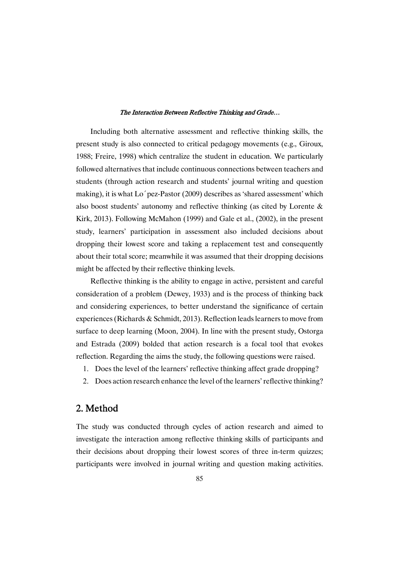Including both alternative assessment and reflective thinking skills, the present study is also connected to critical pedagogy movements (e.g., Giroux, 1988; Freire, 1998) which centralize the student in education. We particularly followed alternatives that include continuous connections between teachers and students (through action research and students' journal writing and question making), it is what Lo´pez-Pastor (2009) describes as 'shared assessment' which also boost students' autonomy and reflective thinking (as cited by Lorente & Kirk, 2013). Following McMahon (1999) and Gale et al., (2002), in the present study, learners' participation in assessment also included decisions about dropping their lowest score and taking a replacement test and consequently about their total score; meanwhile it was assumed that their dropping decisions might be affected by their reflective thinking levels.

Reflective thinking is the ability to engage in active, persistent and careful consideration of a problem (Dewey, 1933) and is the process of thinking back and considering experiences, to better understand the significance of certain experiences (Richards & Schmidt, 2013). Reflection leads learners to move from surface to deep learning (Moon, 2004). In line with the present study, Ostorga and Estrada (2009) bolded that action research is a focal tool that evokes reflection. Regarding the aims the study, the following questions were raised.

- 1. Does the level of the learners' reflective thinking affect grade dropping?
- 2. Does action research enhance the level of the learners'reflective thinking?

## 2.Method

The study was conducted through cycles of action research and aimed to investigate the interaction among reflective thinking skills of participants and their decisions about dropping their lowest scores of three in-term quizzes; participants were involved in journal writing and question making activities.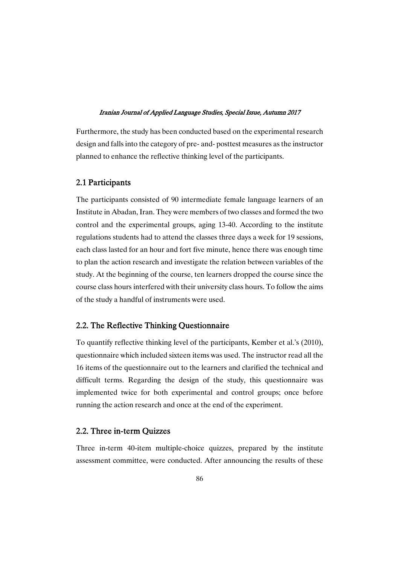Furthermore, the study has been conducted based on the experimental research design and falls into the category of pre- and- posttest measures as the instructor planned to enhance the reflective thinking level of the participants.

### 2.1 Participants

The participants consisted of 90 intermediate female language learners of an Institute in Abadan, Iran. They were members of two classes and formed the two control and the experimental groups, aging 13-40. According to the institute regulations students had to attend the classes three days a week for 19 sessions, each class lasted for an hour and fort five minute, hence there was enough time to plan the action research and investigate the relation between variables of the study. At the beginning of the course, ten learners dropped the course since the course class hours interfered with their university class hours. To follow the aims of the study a handful of instruments were used.

### 2.2. The Reflective Thinking Questionnaire

To quantify reflective thinking level of the participants, Kember et al.'s (2010), questionnaire which included sixteen items was used. The instructor read all the 16 items of the questionnaire out to the learners and clarified the technical and difficult terms. Regarding the design of the study, this questionnaire was implemented twice for both experimental and control groups; once before running the action research and once at the end of the experiment.

### 2.2. Three in-term Ouizzes

Three in-term 40-item multiple-choice quizzes, prepared by the institute assessment committee, were conducted. After announcing the results of these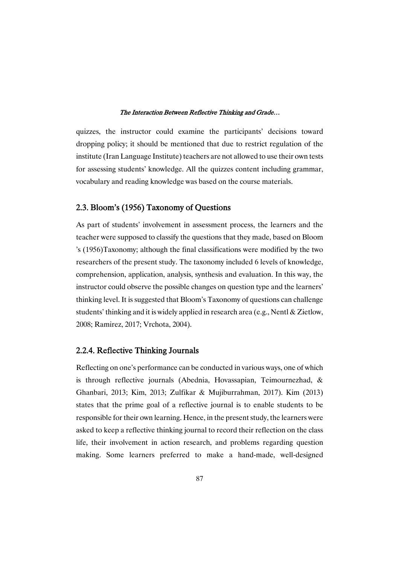quizzes, the instructor could examine the participants' decisions toward dropping policy; it should be mentioned that due to restrict regulation of the institute (Iran Language Institute) teachers are not allowed to use their own tests for assessing students' knowledge. All the quizzes content including grammar, vocabulary and reading knowledge was based on the course materials.

### 2.3. Bloom's (1956) Taxonomy of Questions

As part of students' involvement in assessment process, the learners and the teacher were supposed to classify the questions that they made, based on Bloom 's (1956)Taxonomy; although the final classifications were modified by the two researchers of the present study. The taxonomy included 6 levels of knowledge, comprehension, application, analysis, synthesis and evaluation. In this way, the instructor could observe the possible changes on question type and the learners' thinking level. It is suggested that Bloom's Taxonomy of questions can challenge students' thinking and it is widely applied in research area (e.g., Nentl & Zietlow, 2008; Ramirez, 2017; Vrchota, 2004).

## 2.2.4. Reflective Thinking Journals

Reflecting on one's performance can be conducted in various ways, one of which is through reflective journals (Abednia, Hovassapian, Teimournezhad, & Ghanbari, 2013; Kim, 2013; Zulfikar & Mujiburrahman, 2017). Kim (2013) states that the prime goal of a reflective journal is to enable students to be responsible for their own learning. Hence, in the present study, the learners were asked to keep a reflective thinking journal to record their reflection on the class life, their involvement in action research, and problems regarding question making. Some learners preferred to make a hand-made, well-designed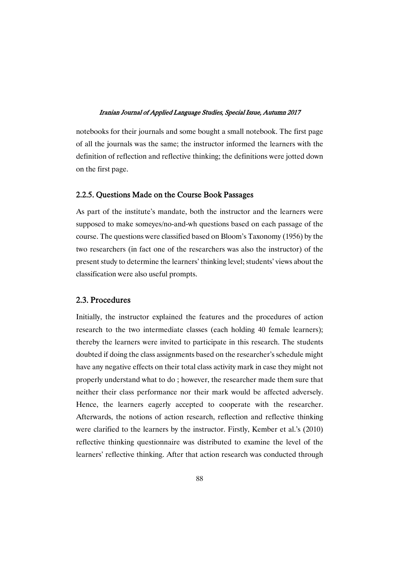notebooks for their journals and some bought a small notebook. The first page of all the journals was the same; the instructor informed the learners with the definition of reflection and reflective thinking; the definitions were jotted down on the first page.

### 2.2.5. Questions Made on the Course Book Passages

As part of the institute's mandate, both the instructor and the learners were supposed to make someyes/no-and-wh questions based on each passage of the course. The questions were classified based on Bloom's Taxonomy (1956) by the two researchers (in fact one of the researchers was also the instructor) of the present study to determine the learners' thinking level; students' views about the classification were also useful prompts.

## 2.3.Procedures

Initially, the instructor explained the features and the procedures of action research to the two intermediate classes (each holding 40 female learners); thereby the learners were invited to participate in this research. The students doubted if doing the class assignments based on the researcher's schedule might have any negative effects on their total class activity mark in case they might not properly understand what to do ; however, the researcher made them sure that neither their class performance nor their mark would be affected adversely. Hence, the learners eagerly accepted to cooperate with the researcher. Afterwards, the notions of action research, reflection and reflective thinking were clarified to the learners by the instructor. Firstly, Kember et al.'s (2010) reflective thinking questionnaire was distributed to examine the level of the learners' reflective thinking. After that action research was conducted through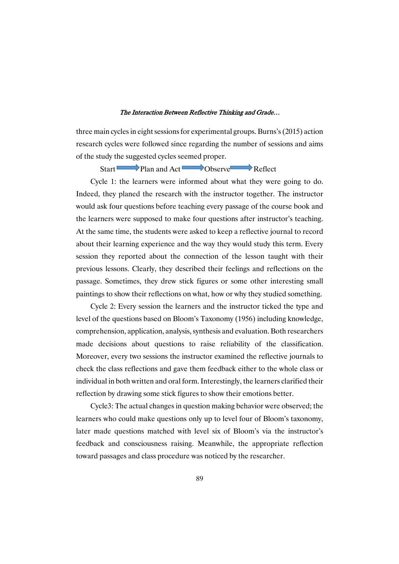three main cycles in eight sessions for experimental groups. Burns's (2015) action research cycles were followed since regarding the number of sessions and aims of the study the suggested cycles seemed proper.

Start Plan and Act Observe Reflect

Cycle 1: the learners were informed about what they were going to do. Indeed, they planed the research with the instructor together. The instructor would ask four questions before teaching every passage of the course book and the learners were supposed to make four questions after instructor's teaching. At the same time, the students were asked to keep a reflective journal to record about their learning experience and the way they would study this term. Every session they reported about the connection of the lesson taught with their previous lessons. Clearly, they described their feelings and reflections on the passage. Sometimes, they drew stick figures or some other interesting small paintings to show their reflections on what, how or why they studied something.

Cycle 2: Every session the learners and the instructor ticked the type and level of the questions based on Bloom's Taxonomy (1956) including knowledge, comprehension, application, analysis, synthesis and evaluation. Both researchers made decisions about questions to raise reliability of the classification. Moreover, every two sessions the instructor examined the reflective journals to check the class reflections and gave them feedback either to the whole class or individual in both written and oral form. Interestingly, the learners clarified their reflection by drawing some stick figures to show their emotions better.

Cycle3: The actual changes in question making behavior were observed; the learners who could make questions only up to level four of Bloom's taxonomy, later made questions matched with level six of Bloom's via the instructor's feedback and consciousness raising. Meanwhile, the appropriate reflection toward passages and class procedure was noticed by the researcher.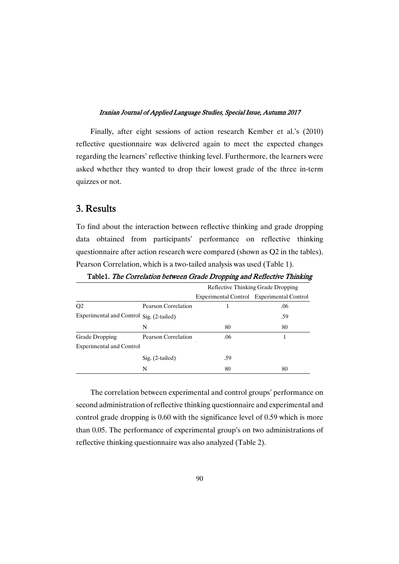Finally, after eight sessions of action research Kember et al.'s (2010) reflective questionnaire was delivered again to meet the expected changes regarding the learners' reflective thinking level. Furthermore, the learners were asked whether they wanted to drop their lowest grade of the three in-term quizzes or not.

## 3.Results

To find about the interaction between reflective thinking and grade dropping data obtained from participants' performance on reflective thinking questionnaire after action research were compared (shown as Q2 in the tables). Pearson Correlation, which is a two-tailed analysis was used (Table 1).

|                                          |                     | Reflective Thinking Grade Dropping |                                           |  |
|------------------------------------------|---------------------|------------------------------------|-------------------------------------------|--|
|                                          |                     |                                    | Experimental Control Experimental Control |  |
| O <sub>2</sub>                           | Pearson Correlation |                                    | .06                                       |  |
| Experimental and Control Sig. (2-tailed) |                     |                                    | .59                                       |  |
|                                          | N                   | 80                                 | 80                                        |  |
| Grade Dropping                           | Pearson Correlation | .06                                |                                           |  |
| <b>Experimental and Control</b>          |                     |                                    |                                           |  |
|                                          | $Sig. (2-tailed)$   | .59                                |                                           |  |
|                                          | N                   | 80                                 | 80                                        |  |

Table1. The Correlation between Grade Dropping and Reflective Thinking

The correlation between experimental and control groups' performance on second administration of reflective thinking questionnaire and experimental and control grade dropping is 0.60 with the significance level of 0.59 which is more than 0.05. The performance of experimental group's on two administrations of reflective thinking questionnaire was also analyzed (Table 2).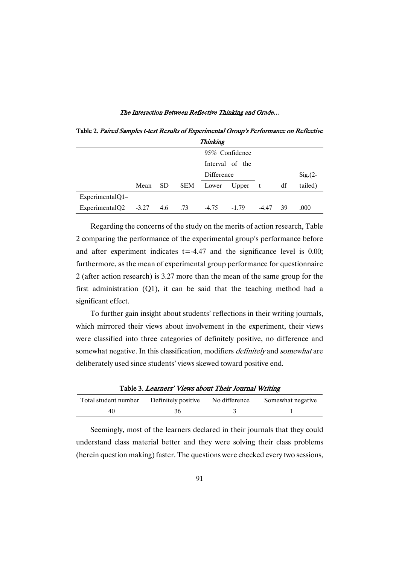**Thinking** Mean SD SEM 95% Confidence Interval of the Difference t df  $Sig.(2-$ Lower Upper t df tailed)

ExperimentalQ2 -3.27 4.6 .73 -4.75 -1.79 -4.47 39 .000

ExperimentalQ1–

Table 2. Paired Samples t-test Results of Experimental Group's Performance on Reflective

Regarding the concerns of the study on the merits of action research, Table 2 comparing the performance of the experimental group's performance before and after experiment indicates  $t = -4.47$  and the significance level is 0.00; furthermore, as the mean of experimental group performance for questionnaire 2 (after action research) is 3.27 more than the mean of the same group for the first administration (Q1), it can be said that the teaching method had a significant effect.

To further gain insight about students' reflections in their writing journals, which mirrored their views about involvement in the experiment, their views were classified into three categories of definitely positive, no difference and somewhat negative. In this classification, modifiers *definitely* and *somewhat* are deliberately used since students' views skewed toward positive end.

Table 3. Learners' Views about Their Journal Writing

| Total student number | Definitely positive | No difference | Somewhat negative |
|----------------------|---------------------|---------------|-------------------|
|                      |                     |               |                   |

Seemingly, most of the learners declared in their journals that they could understand class material better and they were solving their class problems (herein question making) faster. The questions were checked every two sessions,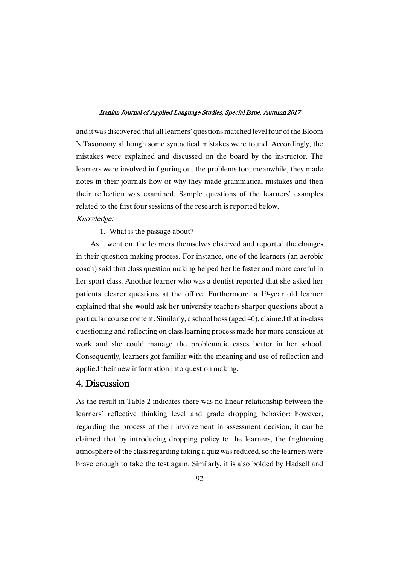and it was discovered that all learners' questions matched level four of the Bloom 's Taxonomy although some syntactical mistakes were found. Accordingly, the mistakes were explained and discussed on the board by the instructor. The learners were involved in figuring out the problems too; meanwhile, they made notes in their journals how or why they made grammatical mistakes and then their reflection was examined. Sample questions of the learners' examples related to the first four sessions of the research is reported below.

### Knowledge:

1. What is the passage about?

As it went on, the learners themselves observed and reported the changes in their question making process. For instance, one of the learners (an aerobic coach) said that class question making helped her be faster and more careful in her sport class. Another learner who was a dentist reported that she asked her patients clearer questions at the office. Furthermore, a 19-year old learner explained that she would ask her university teachers sharper questions about a particular course content. Similarly, a school boss(aged 40), claimed that in-class questioning and reflecting on class learning process made her more conscious at work and she could manage the problematic cases better in her school. Consequently, learners got familiar with the meaning and use of reflection and applied their new information into question making.

## 4.Discussion

As the result in Table 2 indicates there was no linear relationship between the learners' reflective thinking level and grade dropping behavior; however, regarding the process of their involvement in assessment decision, it can be claimed that by introducing dropping policy to the learners, the frightening atmosphere of the class regarding taking a quiz was reduced, so the learners were brave enough to take the test again. Similarly, it is also bolded by Hadsell and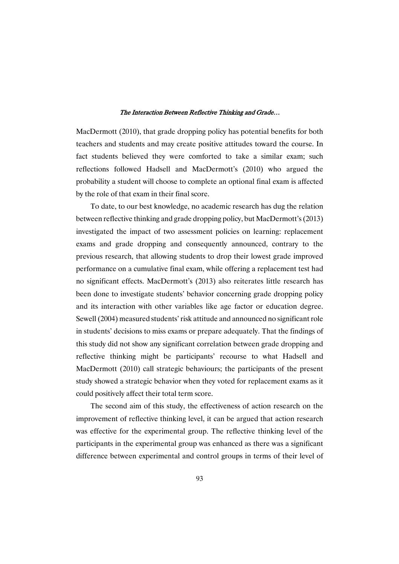MacDermott (2010), that grade dropping policy has potential benefits for both teachers and students and may create positive attitudes toward the course. In fact students believed they were comforted to take a similar exam; such reflections followed Hadsell and MacDermott's (2010) who argued the probability a student will choose to complete an optional final exam is affected by the role of that exam in their final score.

To date, to our best knowledge, no academic research has dug the relation between reflective thinking and grade dropping policy, but MacDermott's(2013) investigated the impact of two assessment policies on learning: replacement exams and grade dropping and consequently announced, contrary to the previous research, that allowing students to drop their lowest grade improved performance on a cumulative final exam, while offering a replacement test had no significant effects. MacDermott's (2013) also reiterates little research has been done to investigate students' behavior concerning grade dropping policy and its interaction with other variables like age factor or education degree. Sewell (2004) measured students' risk attitude and announced no significant role in students' decisions to miss exams or prepare adequately. That the findings of this study did not show any significant correlation between grade dropping and reflective thinking might be participants' recourse to what Hadsell and MacDermott (2010) call strategic behaviours; the participants of the present study showed a strategic behavior when they voted for replacement exams as it could positively affect their total term score.

The second aim of this study, the effectiveness of action research on the improvement of reflective thinking level, it can be argued that action research was effective for the experimental group. The reflective thinking level of the participants in the experimental group was enhanced as there was a significant difference between experimental and control groups in terms of their level of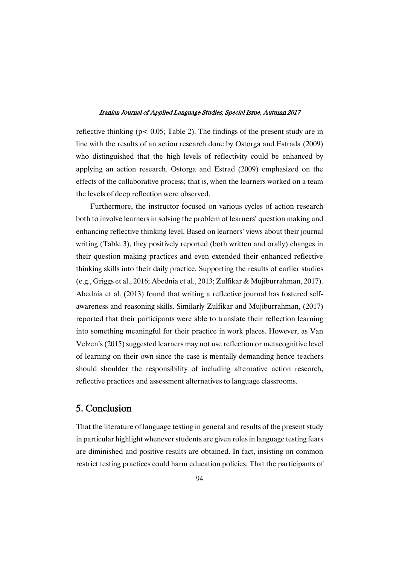reflective thinking ( $p < 0.05$ ; Table 2). The findings of the present study are in line with the results of an action research done by Ostorga and Estrada (2009) who distinguished that the high levels of reflectivity could be enhanced by applying an action research. Ostorga and Estrad (2009) emphasized on the effects of the collaborative process; that is, when the learners worked on a team the levels of deep reflection were observed.

Furthermore, the instructor focused on various cycles of action research both to involve learners in solving the problem of learners' question making and enhancing reflective thinking level. Based on learners' views about their journal writing (Table 3), they positively reported (both written and orally) changes in their question making practices and even extended their enhanced reflective thinking skills into their daily practice. Supporting the results of earlier studies (e.g., Griggs et al., 2016; Abednia et al., 2013; Zulfikar & Mujiburrahman, 2017). Abednia et al. (2013) found that writing a reflective journal has fostered selfawareness and reasoning skills. Similarly Zulfikar and Mujiburrahman, (2017) reported that their participants were able to translate their reflection learning into something meaningful for their practice in work places. However, as Van Velzen's (2015) suggested learners may not use reflection or metacognitive level of learning on their own since the case is mentally demanding hence teachers should shoulder the responsibility of including alternative action research, reflective practices and assessment alternatives to language classrooms.

## 5.Conclusion

That the literature of language testing in general and results of the present study in particular highlight whenever students are given roles in language testing fears are diminished and positive results are obtained. In fact, insisting on common restrict testing practices could harm education policies. That the participants of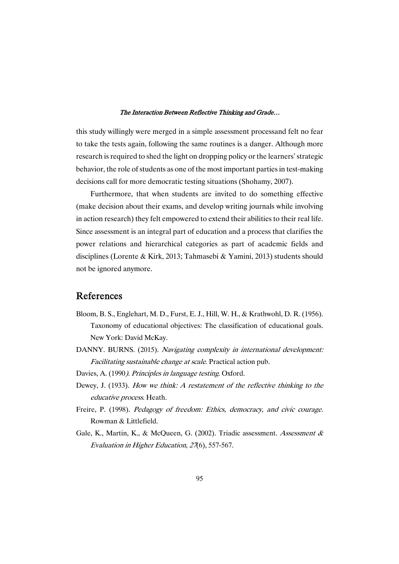this study willingly were merged in a simple assessment processand felt no fear to take the tests again, following the same routines is a danger. Although more research is required to shed the light on dropping policy or the learners' strategic behavior, the role of students as one of the most important parties in test-making decisions call for more democratic testing situations (Shohamy, 2007).

Furthermore, that when students are invited to do something effective (make decision about their exams, and develop writing journals while involving in action research) they felt empowered to extend their abilities to their real life. Since assessment is an integral part of education and a process that clarifies the power relations and hierarchical categories as part of academic fields and disciplines (Lorente & Kirk, 2013; Tahmasebi & Yamini, 2013) students should not be ignored anymore.

## References

- Bloom, B. S., Englehart, M. D., Furst, E. J., Hill, W. H., & Krathwohl, D. R. (1956). Taxonomy of educational objectives: The classification of educational goals. New York: David McKay.
- DANNY. BURNS. (2015). Navigating complexity in international development: Facilitating sustainable change at scale. Practical action pub.
- Davies, A. (1990). Principles in language testing. Oxford.
- Dewey, J. (1933). How we think: <sup>A</sup> restatement of the reflective thinking to the educative process. Heath.
- Freire, P. (1998). Pedagogy of freedom: Ethics, democracy, and civic courage. Rowman & Littlefield.
- Gale, K., Martin, K., & McQueen, G. (2002). Triadic assessment. Assessment & Evaluation in Higher Education, <sup>27</sup>(6), 557-567.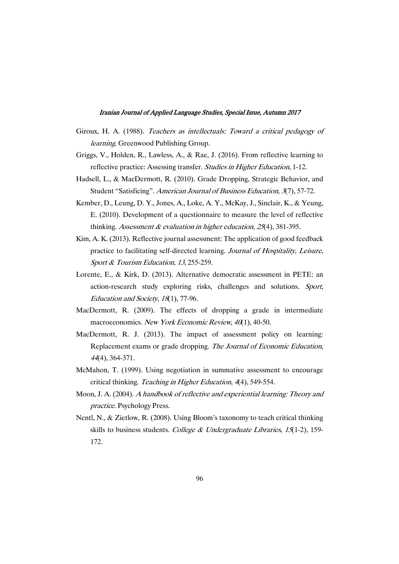- Giroux, H. A. (1988). Teachers as intellectuals: Toward <sup>a</sup> critical pedagogy of learning. Greenwood Publishing Group.
- Griggs, V., Holden, R., Lawless, A., & Rae, J. (2016). From reflective learning to reflective practice: Assessing transfer. Studies in Higher Education, 1-12.
- Hadsell, L., & MacDermott, R. (2010). Grade Dropping, Strategic Behavior, and Student "Satisficing". American Journal of Business Education, 3(7), 57-72.
- Kember, D., Leung, D. Y., Jones, A., Loke, A. Y., McKay, J., Sinclair, K., & Yeung, E. (2010). Development of a questionnaire to measure the level of reflective thinking. Assessment  $\&$  evaluation in higher education, 25(4), 381-395.
- Kim, A. K. (2013). Reflective journal assessment: The application of good feedback practice to facilitating self-directed learning. Journal of Hospitality, Leisure, Sport & Tourism Education, <sup>13</sup>, 255-259.
- Lorente, E., & Kirk, D. (2013). Alternative democratic assessment in PETE: an action-research study exploring risks, challenges and solutions. Sport, Education and Society, <sup>18</sup>(1), 77-96.
- MacDermott, R. (2009). The effects of dropping a grade in intermediate macroeconomics. New York Economic Review, 40(1), 40-50.
- MacDermott, R. J. (2013). The impact of assessment policy on learning: Replacement exams or grade dropping. The Journal of Economic Education, <sup>44</sup>(4), 364-371.
- McMahon, T. (1999). Using negotiation in summative assessment to encourage critical thinking. Teaching in Higher Education, 4(4), 549-554.
- Moon, J. A. (2004). <sup>A</sup> handbook of reflective and experiential learning: Theory and practice. Psychology Press.
- Nentl, N., & Zietlow, R. (2008). Using Bloom's taxonomy to teach critical thinking skills to business students. College & Undergraduate Libraries,  $15(1-2)$ , 159-172.